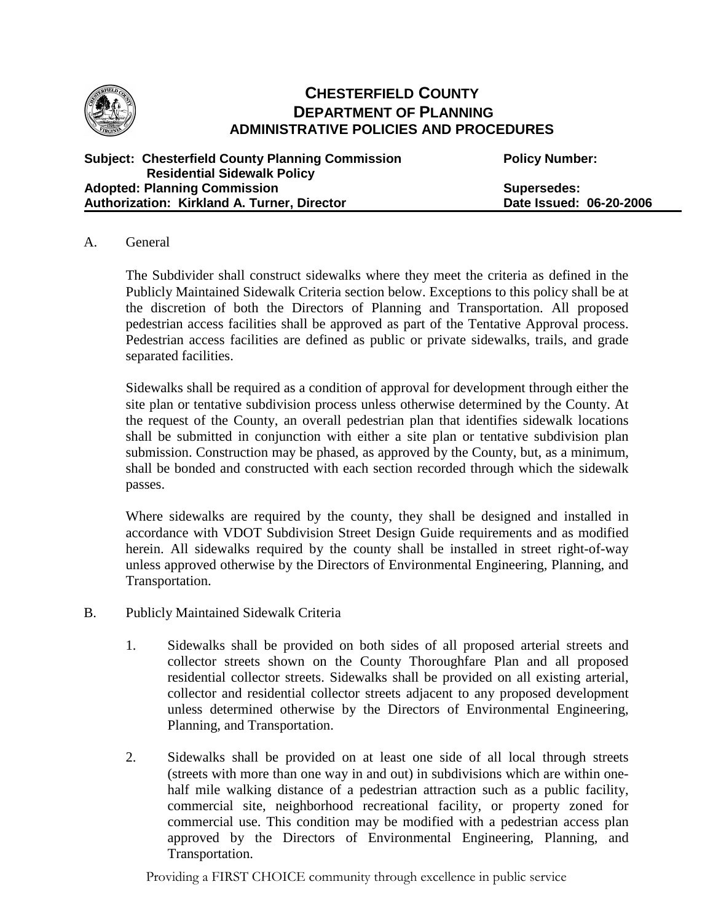

# **CHESTERFIELD COUNTY DEPARTMENT OF PLANNING ADMINISTRATIVE POLICIES AND PROCEDURES**

| <b>Subject: Chesterfield County Planning Commission</b> | <b>Policy Number:</b>   |
|---------------------------------------------------------|-------------------------|
| <b>Residential Sidewalk Policy</b>                      |                         |
| <b>Adopted: Planning Commission</b>                     | Supersedes:             |
| Authorization: Kirkland A. Turner, Director             | Date Issued: 06-20-2006 |

#### A. General

The Subdivider shall construct sidewalks where they meet the criteria as defined in the Publicly Maintained Sidewalk Criteria section below. Exceptions to this policy shall be at the discretion of both the Directors of Planning and Transportation. All proposed pedestrian access facilities shall be approved as part of the Tentative Approval process. Pedestrian access facilities are defined as public or private sidewalks, trails, and grade separated facilities.

Sidewalks shall be required as a condition of approval for development through either the site plan or tentative subdivision process unless otherwise determined by the County. At the request of the County, an overall pedestrian plan that identifies sidewalk locations shall be submitted in conjunction with either a site plan or tentative subdivision plan submission. Construction may be phased, as approved by the County, but, as a minimum, shall be bonded and constructed with each section recorded through which the sidewalk passes.

Where sidewalks are required by the county, they shall be designed and installed in accordance with VDOT Subdivision Street Design Guide requirements and as modified herein. All sidewalks required by the county shall be installed in street right-of-way unless approved otherwise by the Directors of Environmental Engineering, Planning, and Transportation.

- B. Publicly Maintained Sidewalk Criteria
	- 1. Sidewalks shall be provided on both sides of all proposed arterial streets and collector streets shown on the County Thoroughfare Plan and all proposed residential collector streets. Sidewalks shall be provided on all existing arterial, collector and residential collector streets adjacent to any proposed development unless determined otherwise by the Directors of Environmental Engineering, Planning, and Transportation.
	- 2. Sidewalks shall be provided on at least one side of all local through streets (streets with more than one way in and out) in subdivisions which are within onehalf mile walking distance of a pedestrian attraction such as a public facility, commercial site, neighborhood recreational facility, or property zoned for commercial use. This condition may be modified with a pedestrian access plan approved by the Directors of Environmental Engineering, Planning, and Transportation.

Providing a FIRST CHOICE community through excellence in public service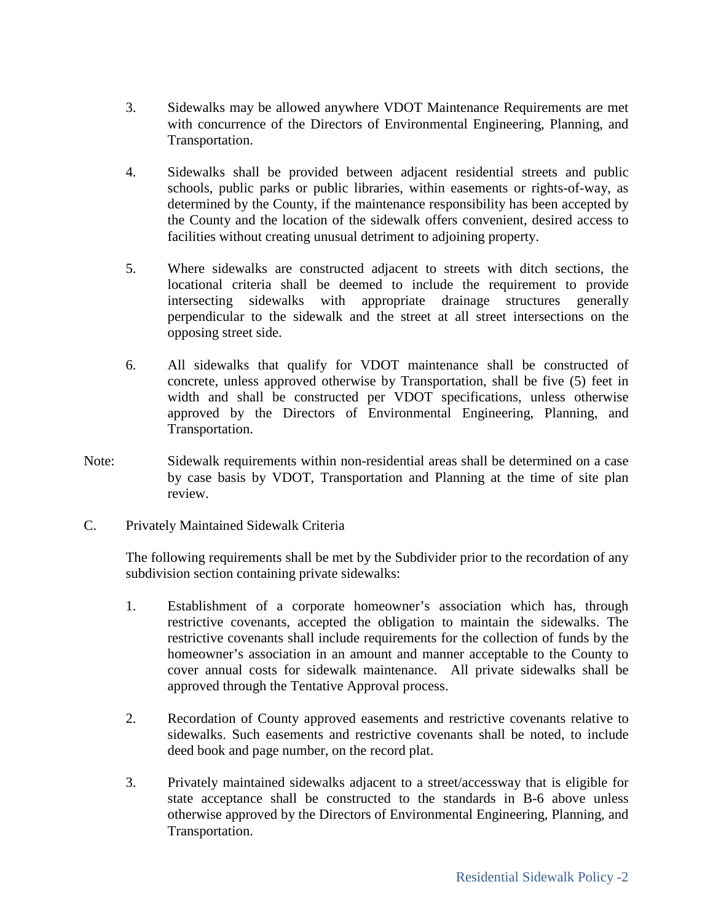- 3. Sidewalks may be allowed anywhere VDOT Maintenance Requirements are met with concurrence of the Directors of Environmental Engineering, Planning, and Transportation.
- 4. Sidewalks shall be provided between adjacent residential streets and public schools, public parks or public libraries, within easements or rights-of-way, as determined by the County, if the maintenance responsibility has been accepted by the County and the location of the sidewalk offers convenient, desired access to facilities without creating unusual detriment to adjoining property.
- 5. Where sidewalks are constructed adjacent to streets with ditch sections, the locational criteria shall be deemed to include the requirement to provide intersecting sidewalks with appropriate drainage structures generally perpendicular to the sidewalk and the street at all street intersections on the opposing street side.
- 6. All sidewalks that qualify for VDOT maintenance shall be constructed of concrete, unless approved otherwise by Transportation, shall be five (5) feet in width and shall be constructed per VDOT specifications, unless otherwise approved by the Directors of Environmental Engineering, Planning, and Transportation.
- Note: Sidewalk requirements within non-residential areas shall be determined on a case by case basis by VDOT, Transportation and Planning at the time of site plan review.
- C. Privately Maintained Sidewalk Criteria

The following requirements shall be met by the Subdivider prior to the recordation of any subdivision section containing private sidewalks:

- 1. Establishment of a corporate homeowner's association which has, through restrictive covenants, accepted the obligation to maintain the sidewalks. The restrictive covenants shall include requirements for the collection of funds by the homeowner's association in an amount and manner acceptable to the County to cover annual costs for sidewalk maintenance. All private sidewalks shall be approved through the Tentative Approval process.
- 2. Recordation of County approved easements and restrictive covenants relative to sidewalks. Such easements and restrictive covenants shall be noted, to include deed book and page number, on the record plat.
- 3. Privately maintained sidewalks adjacent to a street/accessway that is eligible for state acceptance shall be constructed to the standards in B-6 above unless otherwise approved by the Directors of Environmental Engineering, Planning, and Transportation.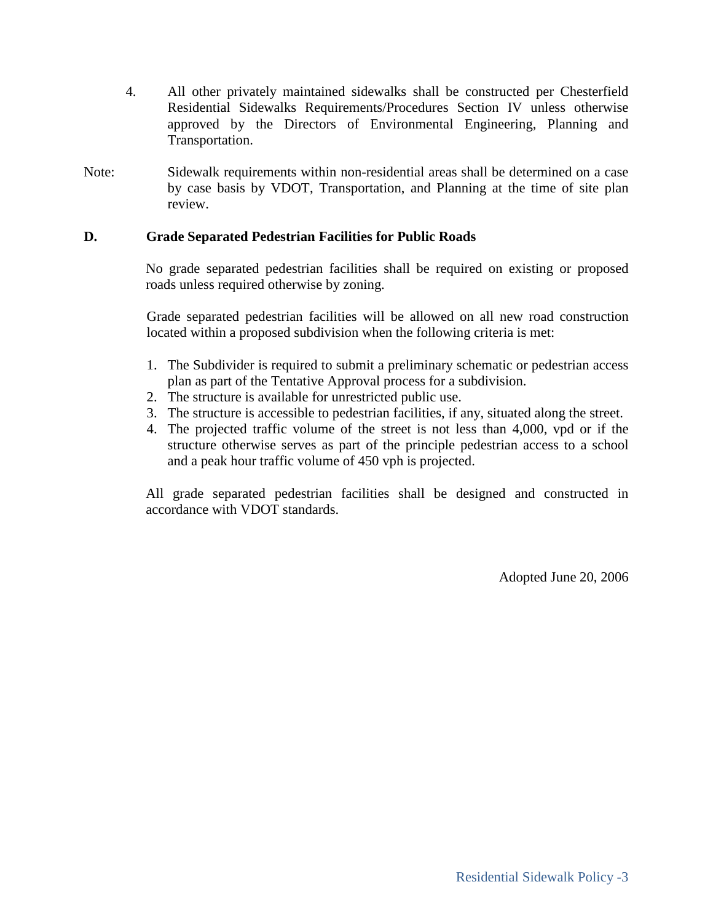- 4. All other privately maintained sidewalks shall be constructed per Chesterfield Residential Sidewalks Requirements/Procedures Section IV unless otherwise approved by the Directors of Environmental Engineering, Planning and Transportation.
- Note: Sidewalk requirements within non-residential areas shall be determined on a case by case basis by VDOT, Transportation, and Planning at the time of site plan review.

### **D. Grade Separated Pedestrian Facilities for Public Roads**

No grade separated pedestrian facilities shall be required on existing or proposed roads unless required otherwise by zoning.

Grade separated pedestrian facilities will be allowed on all new road construction located within a proposed subdivision when the following criteria is met:

- 1. The Subdivider is required to submit a preliminary schematic or pedestrian access plan as part of the Tentative Approval process for a subdivision.
- 2. The structure is available for unrestricted public use.
- 3. The structure is accessible to pedestrian facilities, if any, situated along the street.
- 4. The projected traffic volume of the street is not less than 4,000, vpd or if the structure otherwise serves as part of the principle pedestrian access to a school and a peak hour traffic volume of 450 vph is projected.

All grade separated pedestrian facilities shall be designed and constructed in accordance with VDOT standards.

Adopted June 20, 2006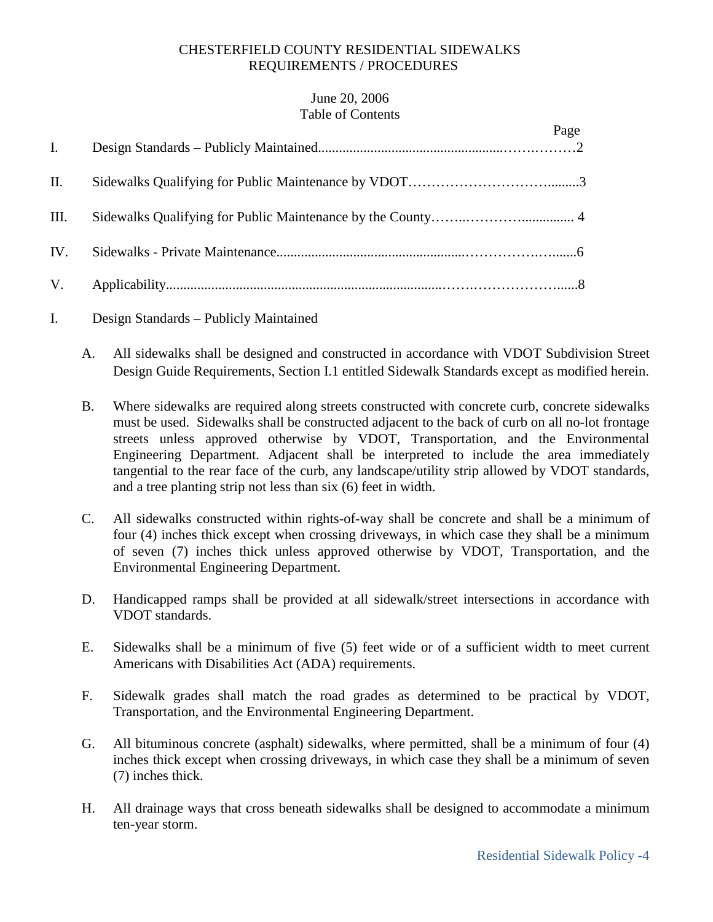## CHESTERFIELD COUNTY RESIDENTIAL SIDEWALKS REQUIREMENTS / PROCEDURES

### June 20, 2006 Table of Contents

| I.   | Page |
|------|------|
| II.  |      |
| III. |      |
| IV.  |      |
|      |      |

- I. Design Standards Publicly Maintained
	- A. All sidewalks shall be designed and constructed in accordance with VDOT Subdivision Street Design Guide Requirements, Section I.1 entitled Sidewalk Standards except as modified herein.
	- B. Where sidewalks are required along streets constructed with concrete curb, concrete sidewalks must be used. Sidewalks shall be constructed adjacent to the back of curb on all no-lot frontage streets unless approved otherwise by VDOT, Transportation, and the Environmental Engineering Department. Adjacent shall be interpreted to include the area immediately tangential to the rear face of the curb, any landscape/utility strip allowed by VDOT standards, and a tree planting strip not less than six (6) feet in width.
	- C. All sidewalks constructed within rights-of-way shall be concrete and shall be a minimum of four (4) inches thick except when crossing driveways, in which case they shall be a minimum of seven (7) inches thick unless approved otherwise by VDOT, Transportation, and the Environmental Engineering Department.
	- D. Handicapped ramps shall be provided at all sidewalk/street intersections in accordance with VDOT standards.
	- E. Sidewalks shall be a minimum of five (5) feet wide or of a sufficient width to meet current Americans with Disabilities Act (ADA) requirements.
	- F. Sidewalk grades shall match the road grades as determined to be practical by VDOT, Transportation, and the Environmental Engineering Department.
	- G. All bituminous concrete (asphalt) sidewalks, where permitted, shall be a minimum of four (4) inches thick except when crossing driveways, in which case they shall be a minimum of seven (7) inches thick.
	- H. All drainage ways that cross beneath sidewalks shall be designed to accommodate a minimum ten-year storm.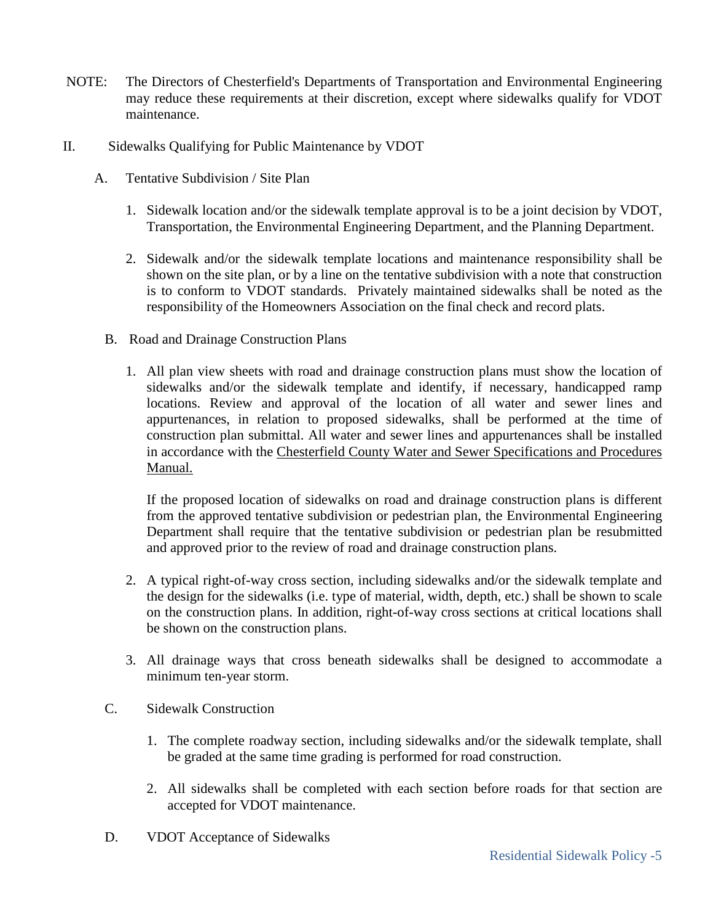- NOTE: The Directors of Chesterfield's Departments of Transportation and Environmental Engineering may reduce these requirements at their discretion, except where sidewalks qualify for VDOT maintenance.
- II. Sidewalks Qualifying for Public Maintenance by VDOT
	- A. Tentative Subdivision / Site Plan
		- 1. Sidewalk location and/or the sidewalk template approval is to be a joint decision by VDOT, Transportation, the Environmental Engineering Department, and the Planning Department.
		- 2. Sidewalk and/or the sidewalk template locations and maintenance responsibility shall be shown on the site plan, or by a line on the tentative subdivision with a note that construction is to conform to VDOT standards. Privately maintained sidewalks shall be noted as the responsibility of the Homeowners Association on the final check and record plats.
		- B. Road and Drainage Construction Plans
			- 1. All plan view sheets with road and drainage construction plans must show the location of sidewalks and/or the sidewalk template and identify, if necessary, handicapped ramp locations. Review and approval of the location of all water and sewer lines and appurtenances, in relation to proposed sidewalks, shall be performed at the time of construction plan submittal. All water and sewer lines and appurtenances shall be installed in accordance with the Chesterfield County Water and Sewer Specifications and Procedures Manual.

If the proposed location of sidewalks on road and drainage construction plans is different from the approved tentative subdivision or pedestrian plan, the Environmental Engineering Department shall require that the tentative subdivision or pedestrian plan be resubmitted and approved prior to the review of road and drainage construction plans.

- 2. A typical right-of-way cross section, including sidewalks and/or the sidewalk template and the design for the sidewalks (i.e. type of material, width, depth, etc.) shall be shown to scale on the construction plans. In addition, right-of-way cross sections at critical locations shall be shown on the construction plans.
- 3. All drainage ways that cross beneath sidewalks shall be designed to accommodate a minimum ten-year storm.
- C. Sidewalk Construction
	- 1. The complete roadway section, including sidewalks and/or the sidewalk template, shall be graded at the same time grading is performed for road construction.
	- 2. All sidewalks shall be completed with each section before roads for that section are accepted for VDOT maintenance.
- D. VDOT Acceptance of Sidewalks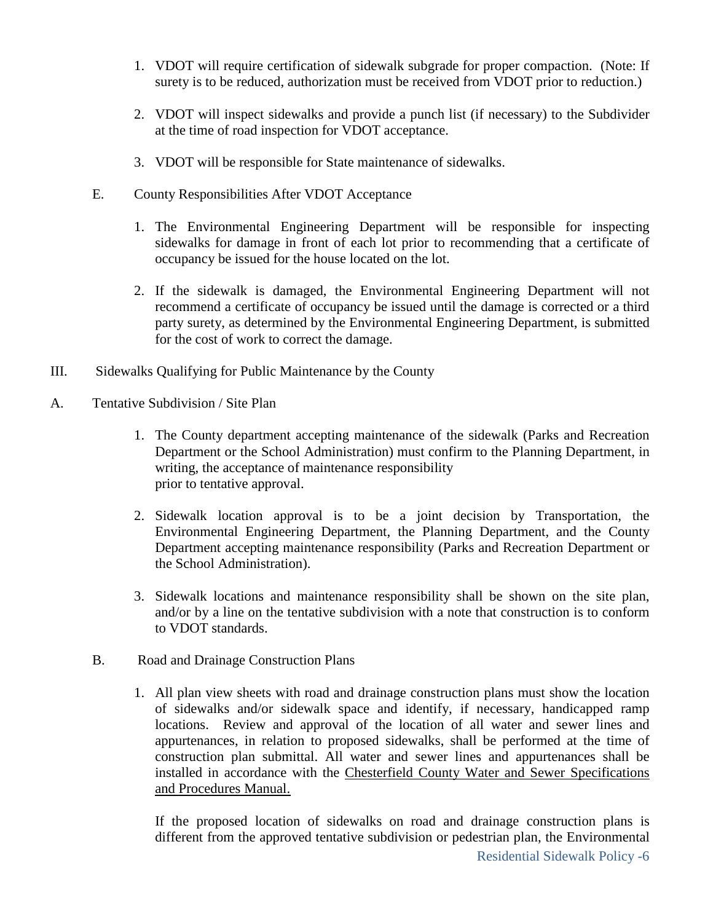- 1. VDOT will require certification of sidewalk subgrade for proper compaction. (Note: If surety is to be reduced, authorization must be received from VDOT prior to reduction.)
- 2. VDOT will inspect sidewalks and provide a punch list (if necessary) to the Subdivider at the time of road inspection for VDOT acceptance.
- 3. VDOT will be responsible for State maintenance of sidewalks.
- E. County Responsibilities After VDOT Acceptance
	- 1. The Environmental Engineering Department will be responsible for inspecting sidewalks for damage in front of each lot prior to recommending that a certificate of occupancy be issued for the house located on the lot.
	- 2. If the sidewalk is damaged, the Environmental Engineering Department will not recommend a certificate of occupancy be issued until the damage is corrected or a third party surety, as determined by the Environmental Engineering Department, is submitted for the cost of work to correct the damage.
- III. Sidewalks Qualifying for Public Maintenance by the County
- A. Tentative Subdivision / Site Plan
	- 1. The County department accepting maintenance of the sidewalk (Parks and Recreation Department or the School Administration) must confirm to the Planning Department, in writing, the acceptance of maintenance responsibility prior to tentative approval.
	- 2. Sidewalk location approval is to be a joint decision by Transportation, the Environmental Engineering Department, the Planning Department, and the County Department accepting maintenance responsibility (Parks and Recreation Department or the School Administration).
	- 3. Sidewalk locations and maintenance responsibility shall be shown on the site plan, and/or by a line on the tentative subdivision with a note that construction is to conform to VDOT standards.
	- B. Road and Drainage Construction Plans
		- 1. All plan view sheets with road and drainage construction plans must show the location of sidewalks and/or sidewalk space and identify, if necessary, handicapped ramp locations. Review and approval of the location of all water and sewer lines and appurtenances, in relation to proposed sidewalks, shall be performed at the time of construction plan submittal. All water and sewer lines and appurtenances shall be installed in accordance with the Chesterfield County Water and Sewer Specifications and Procedures Manual.

If the proposed location of sidewalks on road and drainage construction plans is different from the approved tentative subdivision or pedestrian plan, the Environmental Residential Sidewalk Policy -6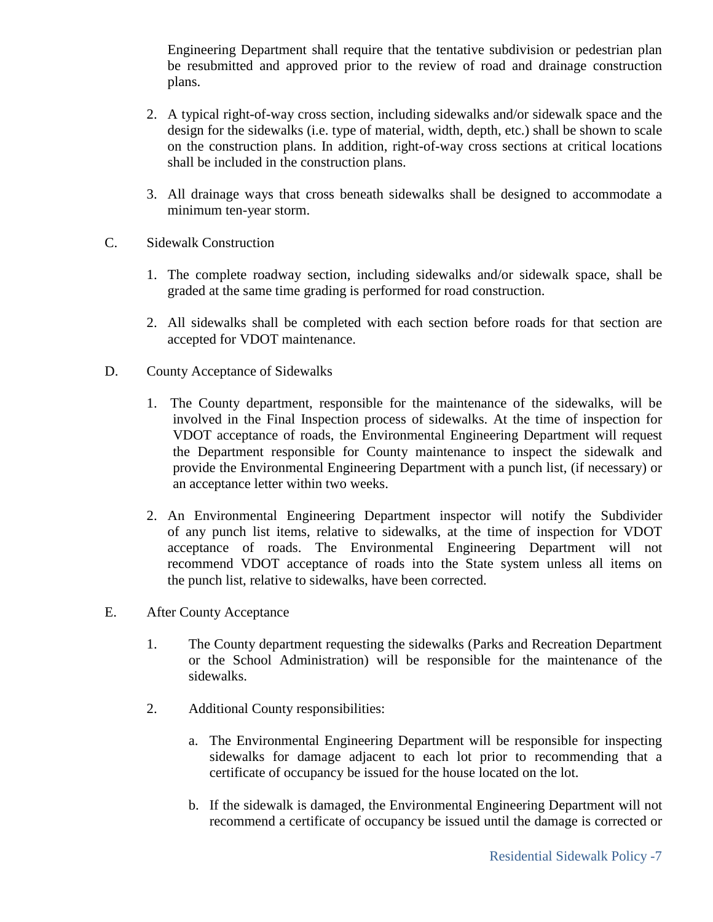Engineering Department shall require that the tentative subdivision or pedestrian plan be resubmitted and approved prior to the review of road and drainage construction plans.

- 2. A typical right-of-way cross section, including sidewalks and/or sidewalk space and the design for the sidewalks (i.e. type of material, width, depth, etc.) shall be shown to scale on the construction plans. In addition, right-of-way cross sections at critical locations shall be included in the construction plans.
- 3. All drainage ways that cross beneath sidewalks shall be designed to accommodate a minimum ten-year storm.
- C. Sidewalk Construction
	- 1. The complete roadway section, including sidewalks and/or sidewalk space, shall be graded at the same time grading is performed for road construction.
	- 2. All sidewalks shall be completed with each section before roads for that section are accepted for VDOT maintenance.
- D. County Acceptance of Sidewalks
	- 1. The County department, responsible for the maintenance of the sidewalks, will be involved in the Final Inspection process of sidewalks. At the time of inspection for VDOT acceptance of roads, the Environmental Engineering Department will request the Department responsible for County maintenance to inspect the sidewalk and provide the Environmental Engineering Department with a punch list, (if necessary) or an acceptance letter within two weeks.
	- 2. An Environmental Engineering Department inspector will notify the Subdivider of any punch list items, relative to sidewalks, at the time of inspection for VDOT acceptance of roads. The Environmental Engineering Department will not recommend VDOT acceptance of roads into the State system unless all items on the punch list, relative to sidewalks, have been corrected.
- E. After County Acceptance
	- 1. The County department requesting the sidewalks (Parks and Recreation Department or the School Administration) will be responsible for the maintenance of the sidewalks.
	- 2. Additional County responsibilities:
		- a. The Environmental Engineering Department will be responsible for inspecting sidewalks for damage adjacent to each lot prior to recommending that a certificate of occupancy be issued for the house located on the lot.
		- b. If the sidewalk is damaged, the Environmental Engineering Department will not recommend a certificate of occupancy be issued until the damage is corrected or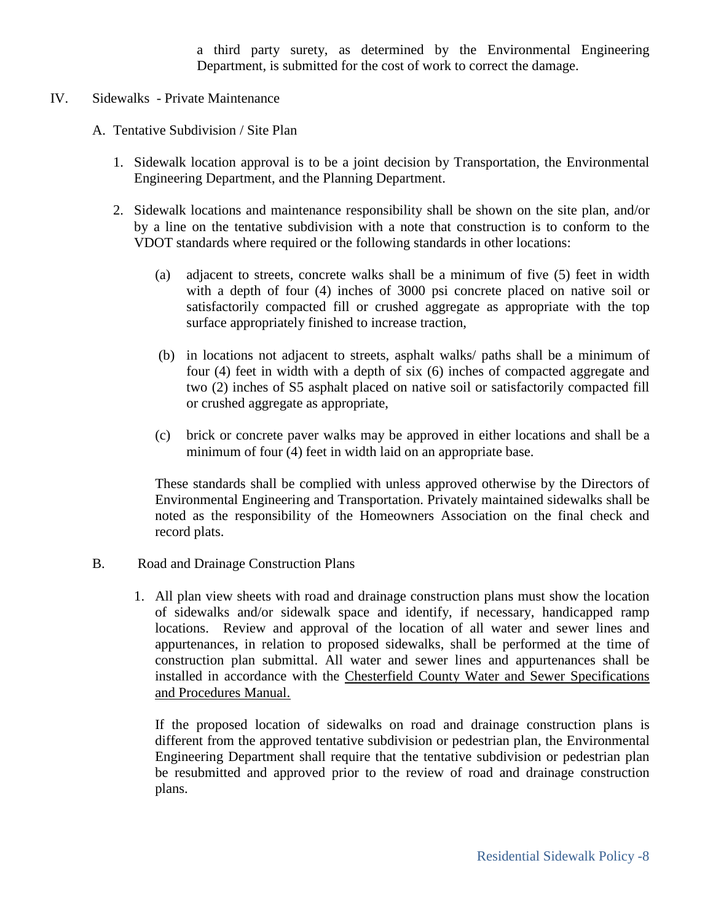a third party surety, as determined by the Environmental Engineering Department, is submitted for the cost of work to correct the damage.

- IV. Sidewalks Private Maintenance
	- A. Tentative Subdivision / Site Plan
		- 1. Sidewalk location approval is to be a joint decision by Transportation, the Environmental Engineering Department, and the Planning Department.
		- 2. Sidewalk locations and maintenance responsibility shall be shown on the site plan, and/or by a line on the tentative subdivision with a note that construction is to conform to the VDOT standards where required or the following standards in other locations:
			- (a) adjacent to streets, concrete walks shall be a minimum of five (5) feet in width with a depth of four (4) inches of 3000 psi concrete placed on native soil or satisfactorily compacted fill or crushed aggregate as appropriate with the top surface appropriately finished to increase traction,
			- (b) in locations not adjacent to streets, asphalt walks/ paths shall be a minimum of four (4) feet in width with a depth of six (6) inches of compacted aggregate and two (2) inches of S5 asphalt placed on native soil or satisfactorily compacted fill or crushed aggregate as appropriate,
			- (c) brick or concrete paver walks may be approved in either locations and shall be a minimum of four (4) feet in width laid on an appropriate base.

These standards shall be complied with unless approved otherwise by the Directors of Environmental Engineering and Transportation. Privately maintained sidewalks shall be noted as the responsibility of the Homeowners Association on the final check and record plats.

- B. Road and Drainage Construction Plans
	- 1. All plan view sheets with road and drainage construction plans must show the location of sidewalks and/or sidewalk space and identify, if necessary, handicapped ramp locations. Review and approval of the location of all water and sewer lines and appurtenances, in relation to proposed sidewalks, shall be performed at the time of construction plan submittal. All water and sewer lines and appurtenances shall be installed in accordance with the Chesterfield County Water and Sewer Specifications and Procedures Manual.

If the proposed location of sidewalks on road and drainage construction plans is different from the approved tentative subdivision or pedestrian plan, the Environmental Engineering Department shall require that the tentative subdivision or pedestrian plan be resubmitted and approved prior to the review of road and drainage construction plans.